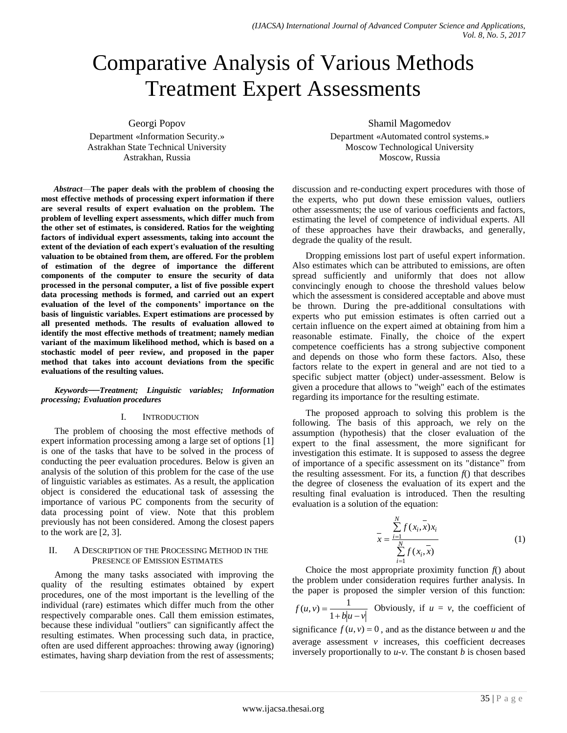# Comparative Analysis of Various Methods Treatment Expert Assessments

Georgi Popov Department «Information Security.» Astrakhan State Technical University Astrakhan, Russia

*Abstract*—**The paper deals with the problem of choosing the most effective methods of processing expert information if there are several results of expert evaluation on the problem. The problem of levelling expert assessments, which differ much from the other set of estimates, is considered. Ratios for the weighting factors of individual expert assessments, taking into account the extent of the deviation of each expert's evaluation of the resulting valuation to be obtained from them, are offered. For the problem of estimation of the degree of importance the different components of the computer to ensure the security of data processed in the personal computer, a list of five possible expert data processing methods is formed, and carried out an expert evaluation of the level of the components' importance on the basis of linguistic variables. Expert estimations are processed by all presented methods. The results of evaluation allowed to identify the most effective methods of treatment; namely median variant of the maximum likelihood method, which is based on a stochastic model of peer review, and proposed in the paper method that takes into account deviations from the specific evaluations of the resulting values.**

#### *Keywords──Treatment; Linguistic variables; Information processing; Evaluation procedures*

#### I. INTRODUCTION

The problem of choosing the most effective methods of expert information processing among a large set of options [1] is one of the tasks that have to be solved in the process of conducting the peer evaluation procedures. Below is given an analysis of the solution of this problem for the case of the use of linguistic variables as estimates. As a result, the application object is considered the educational task of assessing the importance of various PC components from the security of data processing point of view. Note that this problem previously has not been considered. Among the closest papers to the work are [2, 3].

## II. A DESCRIPTION OF THE PROCESSING METHOD IN THE PRESENCE OF EMISSION ESTIMATES

Among the many tasks associated with improving the quality of the resulting estimates obtained by expert procedures, one of the most important is the levelling of the individual (rare) estimates which differ much from the other respectively comparable ones. Call them emission estimates, because these individual "outliers" can significantly affect the resulting estimates. When processing such data, in practice, often are used different approaches: throwing away (ignoring) estimates, having sharp deviation from the rest of assessments; Shamil Magomedov

Department «Automated control systems.» Moscow Technological University Moscow, Russia

discussion and re-conducting expert procedures with those of the experts, who put down these emission values, outliers other assessments; the use of various coefficients and factors, estimating the level of competence of individual experts. All of these approaches have their drawbacks, and generally, degrade the quality of the result.

Dropping emissions lost part of useful expert information. Also estimates which can be attributed to emissions, are often spread sufficiently and uniformly that does not allow convincingly enough to choose the threshold values below which the assessment is considered acceptable and above must be thrown. During the pre-additional consultations with experts who put emission estimates is often carried out a certain influence on the expert aimed at obtaining from him a reasonable estimate. Finally, the choice of the expert competence coefficients has a strong subjective component and depends on those who form these factors. Also, these factors relate to the expert in general and are not tied to a specific subject matter (object) under-assessment. Below is given a procedure that allows to "weigh" each of the estimates regarding its importance for the resulting estimate.

The proposed approach to solving this problem is the following. The basis of this approach, we rely on the assumption (hypothesis) that the closer evaluation of the expert to the final assessment, the more significant for investigation this estimate. It is supposed to assess the degree of importance of a specific assessment on its "distance" from the resulting assessment. For its, a function  $f()$  that describes the degree of closeness the evaluation of its expert and the resulting final evaluation is introduced. Then the resulting evaluation is a solution of the equation:

$$
\bar{x} = \frac{\sum_{i=1}^{N} f(x_i, \bar{x}) x_i}{\sum_{i=1}^{N} f(x_i, \bar{x})}
$$
(1)

Choice the most appropriate proximity function  $f()$  about the problem under consideration requires further analysis. In the paper is proposed the simpler version of this function:

$$
f(u, v) = \frac{1}{1 + b|u - v|}
$$
 Obviously, if  $u = v$ , the coefficient of

significance  $f(u, v) = 0$ , and as the distance between *u* and the average assessment *v* increases, this coefficient decreases inversely proportionally to *u-v*. The constant *b* is chosen based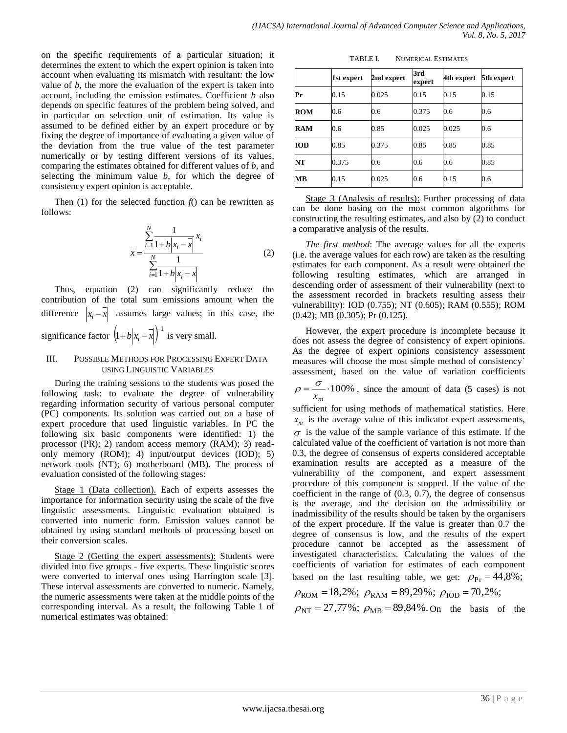on the specific requirements of a particular situation; it determines the extent to which the expert opinion is taken into account when evaluating its mismatch with resultant: the low value of *b*, the more the evaluation of the expert is taken into account, including the emission estimates. Coefficient *b* also depends on specific features of the problem being solved, and in particular on selection unit of estimation. Its value is assumed to be defined either by an expert procedure or by fixing the degree of importance of evaluating a given value of the deviation from the true value of the test parameter numerically or by testing different versions of its values, comparing the estimates obtained for different values of *b*, and selecting the minimum value *b*, for which the degree of consistency expert opinion is acceptable.

Then (1) for the selected function  $f()$  can be rewritten as follows:

$$
\bar{x} = \frac{\sum_{i=1}^{N} \frac{1}{1 + b|x_i - \bar{x}|} x_i}{\sum_{i=1}^{N} \frac{1}{1 + b|x_i - \bar{x}|}}
$$
(2)

Thus, equation (2) can significantly reduce the contribution of the total sum emissions amount when the difference  $|x_i - x|$  assumes large values; in this case, the significance factor  $(1+b|x_i-\overline{x}|)^{-1}$  is very small.

## III. POSSIBLE METHODS FOR PROCESSING EXPERT DATA USING LINGUISTIC VARIABLES

During the training sessions to the students was posed the following task: to evaluate the degree of vulnerability regarding information security of various personal computer (PC) components. Its solution was carried out on a base of expert procedure that used linguistic variables. In PC the following six basic components were identified: 1) the processor (PR); 2) random access memory (RAM); 3) readonly memory (ROM); 4) input/output devices (IOD); 5) network tools (NT); 6) motherboard (MB). The process of evaluation consisted of the following stages:

Stage 1 (Data collection). Each of experts assesses the importance for information security using the scale of the five linguistic assessments. Linguistic evaluation obtained is converted into numeric form. Emission values cannot be obtained by using standard methods of processing based on their conversion scales.

Stage 2 (Getting the expert assessments): Students were divided into five groups - five experts. These linguistic scores were converted to interval ones using Harrington scale [3]. These interval assessments are converted to numeric. Namely, the numeric assessments were taken at the middle points of the corresponding interval. As a result, the following Table 1 of numerical estimates was obtained:

| TABLE I. | <b>NUMERICAL ESTIMATES</b> |
|----------|----------------------------|
|          |                            |

|            | 1st expert | 2nd expert | 3rd<br>expert | 4th expert | 5th expert |
|------------|------------|------------|---------------|------------|------------|
| Pr         | 0.15       | 0.025      | 0.15          | 0.15       | 0.15       |
| <b>ROM</b> | 0.6        | 0.6        | 0.375         | 0.6        | 0.6        |
| <b>RAM</b> | 0.6        | 0.85       | 0.025         | 0.025      | 0.6        |
| <b>IOD</b> | 0.85       | 0.375      | 0.85          | 0.85       | 0.85       |
| NT         | 0.375      | 0.6        | 0.6           | 0.6        | 0.85       |
| MВ         | 0.15       | 0.025      | 0.6           | 0.15       | 0.6        |

Stage 3 (Analysis of results): Further processing of data can be done basing on the most common algorithms for constructing the resulting estimates, and also by (2) to conduct a comparative analysis of the results.

*The first method*: The average values for all the experts (i.e. the average values for each row) are taken as the resulting estimates for each component. As a result were obtained the following resulting estimates, which are arranged in descending order of assessment of their vulnerability (next to the assessment recorded in brackets resulting assess their vulnerability): IOD (0.755); NT (0.605); RAM (0.555); ROM (0.42); MB (0.305); Pr (0.125).

However, the expert procedure is incomplete because it does not assess the degree of consistency of expert opinions. As the degree of expert opinions consistency assessment measures will choose the most simple method of consistency` assessment, based on the value of variation coefficients

 $=\frac{6}{100\%}$ *хm*  $\rho = \frac{\sigma}{\sqrt{1-\frac{v^2}{c^2}}}$  100%, since the amount of data (5 cases) is not

sufficient for using methods of mathematical statistics. Here *mх* is the average value of this indicator expert assessments,  $\sigma$  is the value of the sample variance of this estimate. If the calculated value of the coefficient of variation is not more than 0.3, the degree of consensus of experts considered acceptable examination results are accepted as a measure of the vulnerability of the component, and expert assessment procedure of this component is stopped. If the value of the coefficient in the range of (0.3, 0.7), the degree of consensus is the average, and the decision on the admissibility or inadmissibility of the results should be taken by the organisers of the expert procedure. If the value is greater than 0.7 the degree of consensus is low, and the results of the expert procedure cannot be accepted as the assessment of investigated characteristics. Calculating the values of the coefficients of variation for estimates of each component based on the last resulting table, we get:  $\rho_{\text{Pr}} = 44,8\%$ ;

$$
\rho_{\text{ROM}} = 18,2\%; \ \rho_{\text{RAM}} = 89,29\%; \ \rho_{\text{IOD}} = 70,2\%;
$$

 $\rho_{\rm NT} = 27{,}77\%$ ;  $\rho_{\rm MB} = 89{,}84\%$ . On the basis of the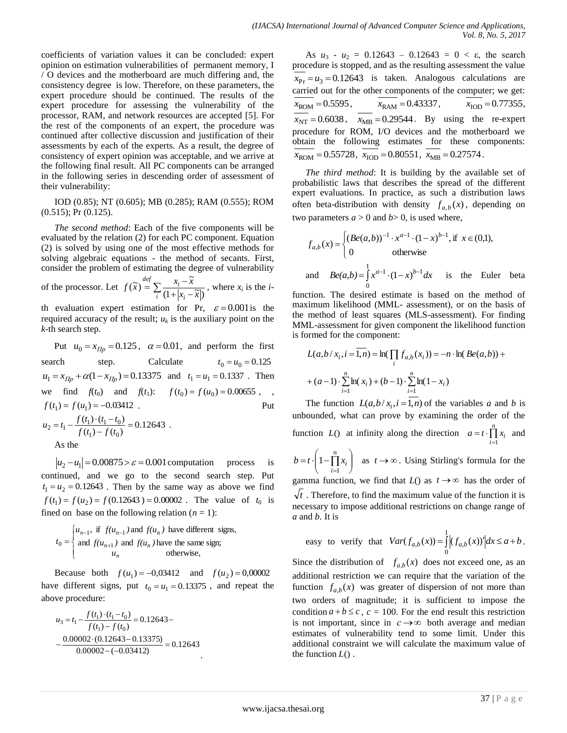coefficients of variation values it can be concluded: expert opinion on estimation vulnerabilities of permanent memory, I / O devices and the motherboard are much differing and, the consistency degree is low. Therefore, on these parameters, the expert procedure should be continued. The results of the expert procedure for assessing the vulnerability of the processor, RAM, and network resources are accepted [5]. For the rest of the components of an expert, the procedure was continued after collective discussion and justification of their assessments by each of the experts. As a result, the degree of consistency of expert opinion was acceptable, and we arrive at the following final result. All PC components can be arranged in the following series in descending order of assessment of their vulnerability:

IOD (0.85); NT (0.605); MB (0.285); RAM (0.555); ROM (0.515); Pr (0.125).

*The second method*: Each of the five components will be evaluated by the relation (2) for each PC component. Equation (2) is solved by using one of the most effective methods for solving algebraic equations - the method of secants. First, consider the problem of estimating the degree of vulnerability

of the processor. Let  $f(\tilde{x}) = \sum_{i} \frac{x_i - x_i}{(1 + |x_i - x_i|)}$  $\stackrel{left}{=} \sum \frac{x_i - x_i}{\cdots}$ *i*  $(1 + |X_i|)$  $\int_{0}^{def} \nabla \cdot \frac{x_i}{x_i}$  $x_i - \widetilde{x}$  $f(\tilde{x}) = \sum_{i} \frac{x_i - \tilde{x}}{(1 + |x_i - \tilde{x}|)}$ ~<br>~  $(\tilde{x}) = \sum_{i=1}^{\infty} \frac{x_i - x_i}{(1 - \tilde{x})_i}$ , where  $x_i$  is the *i*-

th evaluation expert estimation for Pr,  $\varepsilon = 0.001$  is the required accuracy of the result;  $u_k$  is the auxiliary point on the *k*-th search step.

Put  $u_0 = x_{\text{IIp}} = 0.125$ ,  $\alpha = 0.01$ , and perform the first search step. Calculate  $t_0 = u_0 = 0.125$  $u_1 = x_{\text{IIp}} + \alpha (1 - x_{\text{IIp}}) = 0.13375$  and  $t_1 = u_1 = 0.1337$ . Then we find  $f(t_0)$  and  $f(t_1)$ :  $f(t_0) = f(u_0) = 0.00655$ , ,  $f(t_1) = f(u_1) = -0.03412$ . Put  $\frac{t_1(t_1)-t_1(t_1-t_0)}{(t_1)-f(t_0)} = 0.12643$  $(t_1) \cdot (t_1 - t_0)$  $1 - J$   $U_0$  $t_2 = t_1 - \frac{f(t_1) \cdot (t_1 - t_0)}{f(t_1) - f(t_0)} =$  $= t_1 - \frac{f(t_1) \cdot (t_1 - t_1)}{f(t_1) - f(t_1)}$  $u_2 = t_1 - \frac{f(t_1) \cdot (t_1 - t_0)}{f(t_1 - t_0)} = 0.12643$ . As the

 $|u_2 - u_1| = 0.00875 > \varepsilon = 0.001$  computation process is continued, and we go to the second search step. Put  $t_1 = u_2 = 0.12643$ . Then by the same way as above we find  $f(t_1) = f(u_2) = f(0.12643) = 0.00002$ . The value of  $t_0$  is fined on base on the following relation  $(n = 1)$ :

$$
t_0 = \begin{cases} u_{n-1}, & \text{if } f(u_{n-1}) \text{ and } f(u_n) \text{ have different signs,} \\ \text{and } f(u_{n+1}) \text{ and } f(u_n) \text{ have the same sign;} \\ u_n & \text{otherwise,} \end{cases}
$$

Because both  $f(u_1) = -0.03412$  and  $f(u_2) = 0.00002$ have different signs, put  $t_0 = u_1 = 0.13375$ , and repeat the above procedure:

$$
u_3 = t_1 - \frac{f(t_1) \cdot (t_1 - t_0)}{f(t_1) - f(t_0)} = 0.12643 -
$$
  
 
$$
- \frac{0.00002 \cdot (0.12643 - 0.13375)}{0.00002 - (-0.03412)} = 0.12643
$$

As  $u_3 - u_2 = 0.12643 - 0.12643 = 0 < \varepsilon$ , the search procedure is stopped, and as the resulting assessment the value  $x_{\text{Pr}} = u_3 = 0.12643$  is taken. Analogous calculations are carried out for the other components of the computer; we get:  $x_{\text{ROM}} = 0.5595$ ,  $x_{\text{RAM}} = 0.43337$ ,  $x_{\text{IOD}} = 0.77355$ ,  $x_{\text{NT}} = 0.6038$ ,  $x_{\text{MB}} = 0.29544$ . By using the re-expert procedure for ROM, I/O devices and the motherboard we obtain the following estimates for these components:  $x_{\text{ROM}} = 0.55728$ ,  $x_{\text{IOD}} = 0.80551$ ,  $x_{\text{MB}} = 0.27574$ .

*The third method*: It is building by the available set of probabilistic laws that describes the spread of the different expert evaluations. In practice, as such a distribution laws often beta-distribution with density  $f_{a,b}(x)$ , depending on two parameters  $a > 0$  and  $b > 0$ , is used where,

$$
f_{a,b}(x) = \begin{cases} (Be(a,b))^{-1} \cdot x^{a-1} \cdot (1-x)^{b-1}, \text{if } x \in (0,1), \\ 0 & \text{otherwise} \end{cases}
$$
  
and 
$$
Be(a,b) = \int_{0}^{1} x^{a-1} \cdot (1-x)^{b-1} dx \text{ is the Euler beta}
$$

function. The desired estimate is based on the method of maximum likelihood (MML- assessment), or on the basis of the method of least squares (MLS-assessment). For finding MML-assessment for given component the likelihood function is formed for the component:

$$
L(a, b / x_i, i = \overline{1, n}) = \ln(\prod_i f_{a,b}(x_i)) = -n \cdot \ln(Be(a, b)) +
$$
  
+  $(a-1) \cdot \sum_{i=1}^{n} \ln(x_i) + (b-1) \cdot \sum_{i=1}^{n} \ln(1 - x_i)$ 

The function  $L(a,b/x_i, i=1,n)$  of the variables *a* and *b* is unbounded, what can prove by examining the order of the function  $L()$  at infinity along the direction  $a = t \cdot \prod_{i=1}^{n}$  $= t \cdot \prod^{n}$  $a = t \cdot \prod_{i=1}^{n} x_i$ and  $\overline{\phantom{a}}$ J  $\backslash$  $\overline{\phantom{a}}$  $\backslash$  $= t \cdot \left(1 - \prod_{i=1}^n\right)$ *n*  $b = t \cdot \left(1 - \prod_{i=1}^n x_i\right)$  $1-\prod x_i$  as  $t\to\infty$ . Using Stirling's formula for the gamma function, we find that  $L()$  as  $t \rightarrow \infty$  has the order of *t* . Therefore, to find the maximum value of the function it is necessary to impose additional restrictions on change range of

easy to verify that 
$$
Var(f_{a,b}(x)) = \int_{0}^{1} |(f_{a,b}(x))'| dx \le a+b
$$
.

Since the distribution of  $f_{a,b}(x)$  does not exceed one, as an additional restriction we can require that the variation of the function  $f_{a,b}(x)$  was greater of dispersion of not more than two orders of magnitude; it is sufficient to impose the condition  $a + b \leq c$ ,  $c = 100$ . For the end result this restriction is not important, since in  $c \rightarrow \infty$  both average and median estimates of vulnerability tend to some limit. Under this additional constraint we will calculate the maximum value of the function *L*() .

*a* and *b*. It is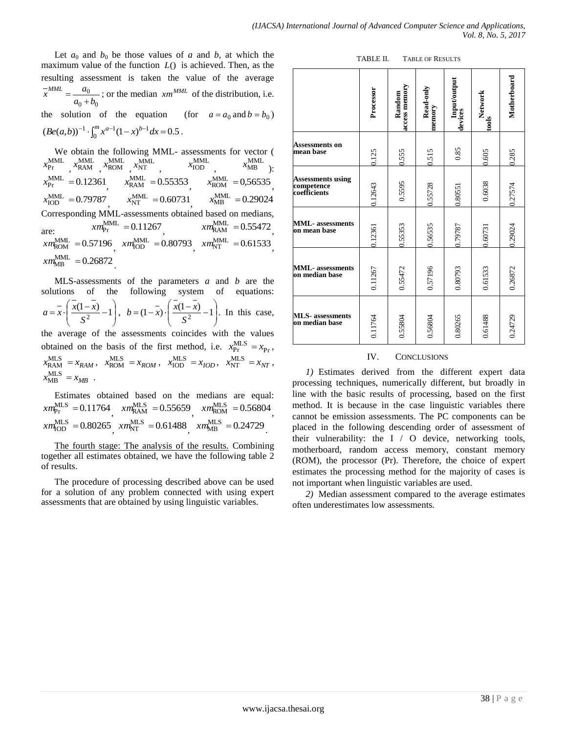Let  $a_0$  and  $b_0$  be those values of  $a$  and  $b$ , at which the maximum value of the function *L*() is achieved. Then, as the resulting assessment is taken the value of the average  $0 + \nu_0$ 0  $a_0 + b$  $\frac{a}{x}$ <sup>*MML*</sup> =  $\frac{a}{x}$  $=\frac{a_0}{a_0+b_0}$ ; or the median *xm*<sup>MML</sup> of the distribution, i.e. the solution of the equation (for  $a = a_0$  and  $b = b_0$ )  $\left( \textit{Be}(a,b) \right)^{-1} \cdot \int_0^m x^{a-1} (1-x)^{b-1} dx = 0.5$  $Be(a,b))^{-1} \cdot \int_0^m x^{a-1} (1-x)^{b-1} dx = 0.5$ .

We obtain the following MML- assessments for vector (  $x_{\text{Pr}}^{\text{MML}}$ ,  $x_{\text{RAM}}^{\text{MML}}$ ,  $x_{\text{ROM}}^{\text{MML}}$ ,  $x_{\text{NT}}^{\text{MML}}$ ,  $x_{\text{IOD}}^{\text{MML}}$ ,  $x_{MB}^{MML}$  ):  $x_{\text{Pr}}^{\text{MML}} = 0.12361$  $\lambda_{\text{RAM}}$  -0.33333,  $x_{\text{RAM}}^{\text{MML}} = 0.55353$  $x_{\text{ROM}}^{\text{MML}} = 0,56535$ ,  $x_{\text{IOD}}^{\text{MML}} = 0.79787, \qquad x_{\text{NT}}^{\text{MML}} = 0.60731,$  $x_{\text{MB}}^{\text{MML}} = 0.29024$ Corresponding MML-assessments obtained based on medians, are:  $\frac{\lambda m_{\text{Pr}}}{\lambda m_{\text{Pr}}}$  - 0.11207,  $\frac{\lambda m_{\text{RAM}}}{\lambda m_{\text{RAM}}}$  - 0.33472,  $xm_{\rm Pr}^{\rm MML}$  = 0.11267  $xm_{\text{RAM}}^{\text{MML}}=0.55472$  $xm_{\text{ROM}}^{\text{MML}} = 0.57196$ ,  $xm_{\text{HOD}}^{\text{MML}} = 0.80793$ ,  $xm_{\text{NT}}^{\text{MML}} = 0.61533$ ,  $xm_{MB}^{MML} = 0.26872$ .

MLS-assessments of the parameters *a* and *b* are the solutions of the following system of equations:  $\overline{\phantom{a}}$ J  $\backslash$  $\overline{\phantom{a}}$  $\overline{\mathcal{L}}$ ſ  $=\frac{x}{1} \cdot \left( \frac{x(1-x)}{2} - 1 \right)$ 2 *S*  $a = \overline{x} \cdot \left( \frac{x(1-x)}{s^2} - 1 \right), b = (1-x) \cdot \left( \frac{x(1-x)}{s^2} - 1 \right)$ J  $\backslash$  $\overline{\phantom{a}}$  $\overline{\mathcal{L}}$ ſ  $=(1-\overline{x}) \cdot \left( \frac{x(1-x)}{S^2} - 1 \right)$  $b = (1-x) \cdot \left( \frac{x(1-x)}{2} - 1 \right)$ . In this case,

the average of the assessments coincides with the values obtained on the basis of the first method, i.e.  $x_{\text{Pr}}^{\text{MLS}} = x_{\text{Pr}}$ ,  $x_{\text{RAM}}^{\text{MLS}} = x_{\text{RAM}}$ ,  $x_{\text{ROM}}^{\text{MLS}} = x_{\text{ROM}}$ ,  $x_{\text{IOD}}^{\text{MLS}} = x_{\text{IOD}}$ ,  $x_{\text{NT}}^{\text{MLS}} = x_{\text{NT}}$ ,  $x_{MB}^{\text{MLS}} = x_{MB}$ .

Estimates obtained based on the medians are equal:  $xm_{\text{Pr}}^{\text{MLS}} = 0.11764$ ,  $xm_{\text{RAM}}^{\text{MLS}} = 0.55659$ ,  $xm_{\text{ROM}}^{\text{MLS}} = 0.56804$ ,  $xm_{\text{HOD}}^{\text{MLS}} = 0.80265 \frac{m_{\text{NT}}^{\text{MLS}}}{m_{\text{NT}}^{\text{MLS}}} = 0.61488 \frac{m_{\text{MB}}^{\text{MLS}}}{m_{\text{MB}}^{\text{MLS}}} = 0.24729$ 

The fourth stage: The analysis of the results. Combining together all estimates obtained, we have the following table 2 of results.

The procedure of processing described above can be used for a solution of any problem connected with using expert assessments that are obtained by using linguistic variables.

| TABLE II. | <b>TABLE OF RESULTS</b> |
|-----------|-------------------------|
|           |                         |

|                                                 | Processor | access memory<br>Random | Read-only<br>memory | Input/output<br>devices | Network<br>tools | Motherboard |
|-------------------------------------------------|-----------|-------------------------|---------------------|-------------------------|------------------|-------------|
| Assessments on<br>mean base                     | 0.125     | 0.555                   | 0.515               | 0.85                    | 0.605            | 0.285       |
| Assessments using<br>competence<br>coefficients | 0.12643   | 0.5595                  | 0.55728             | 0.80551                 | 0.6038           | 0.27574     |
| MML- assessments<br>on mean base                | 0.12361   | 0.55353                 | 0.56535             | 0.79787                 | 0.60731          | 0.29024     |
| <b>MML-</b> assessments<br>on median base       | 0.11267   | 0.55472                 | 0.57196             | 0.80793                 | 0.61533          | 0.26872     |
| MLS- assessments<br>on median base              | 0.11764   | 0.55804                 | 0.56804             | 0.80265                 | 0.61488          | 0.24729     |

#### IV. CONCLUSIONS

*1)* Estimates derived from the different expert data processing techniques, numerically different, but broadly in line with the basic results of processing, based on the first method. It is because in the case linguistic variables there cannot be emission assessments. The PC components can be placed in the following descending order of assessment of their vulnerability: the I / O device, networking tools, motherboard, random access memory, constant memory (ROM), the processor (Pr). Therefore, the choice of expert estimates the processing method for the majority of cases is not important when linguistic variables are used.

*2)* Median assessment compared to the average estimates often underestimates low assessments.